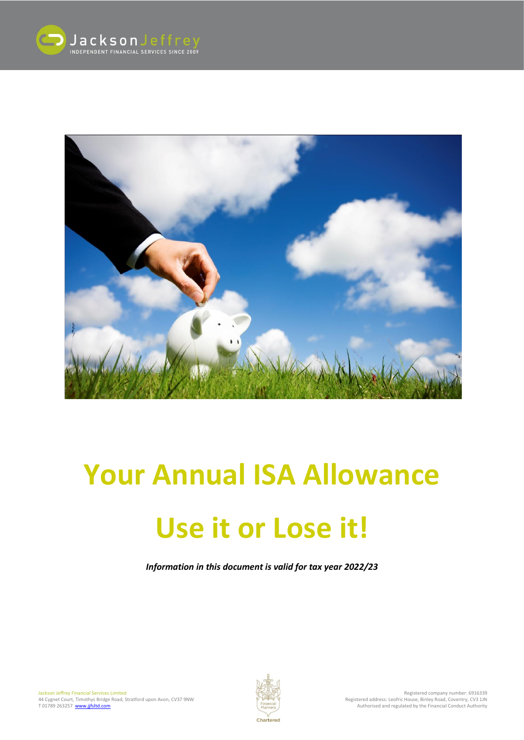



# **Your Annual ISA Allowance**

# **Use it or Lose it!**

*Information in this document is valid for tax year 2022/23*

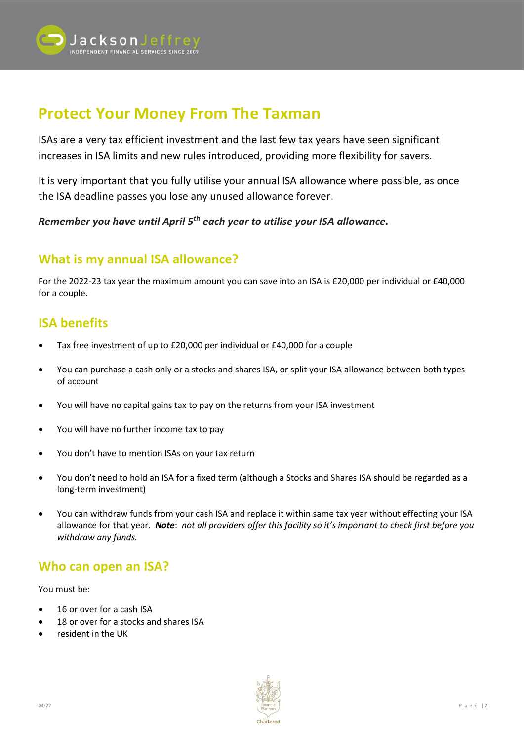

# **Protect Your Money From The Taxman**

ISAs are a very tax efficient investment and the last few tax years have seen significant increases in ISA limits and new rules introduced, providing more flexibility for savers.

It is very important that you fully utilise your annual ISA allowance where possible, as once the ISA deadline passes you lose any unused allowance forever.

*Remember you have until April 5th each year to utilise your ISA allowance.* 

#### **What is my annual ISA allowance?**

For the 2022-23 tax year the maximum amount you can save into an ISA is £20,000 per individual or £40,000 for a couple.

#### **ISA benefits**

- Tax free investment of up to £20,000 per individual or £40,000 for a couple
- You can purchase a cash only or a stocks and shares ISA, or split your ISA allowance between both types of account
- You will have no capital gains tax to pay on the returns from your ISA investment
- You will have no further income tax to pay
- You don't have to mention ISAs on your tax return
- You don't need to hold an ISA for a fixed term (although a Stocks and Shares ISA should be regarded as a long-term investment)
- You can withdraw funds from your cash ISA and replace it within same tax year without effecting your ISA allowance for that year. *Note*: *not all providers offer this facility so it's important to check first before you withdraw any funds.*

#### **Who can open an ISA?**

You must be:

- 16 or over for a cash ISA
- 18 or over for a stocks and shares ISA
- resident in the UK

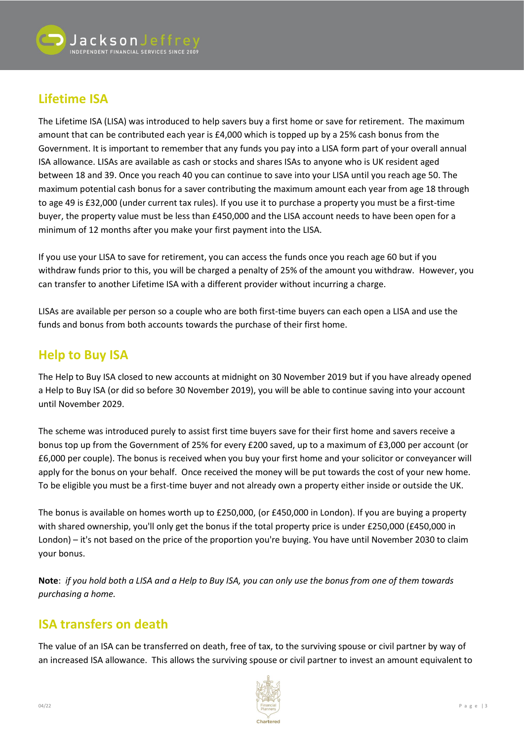

## **Lifetime ISA**

The Lifetime ISA (LISA) was introduced to help savers buy a first home or save for retirement. The maximum amount that can be contributed each year is £4,000 which is topped up by a 25% cash bonus from the Government. It is important to remember that any funds you pay into a LISA form part of your overall annual ISA allowance. LISAs are available as cash or stocks and shares ISAs to anyone who is UK resident aged between 18 and 39. Once you reach 40 you can continue to save into your LISA until you reach age 50. The maximum potential cash bonus for a saver contributing the maximum amount each year from age 18 through to age 49 is £32,000 (under current tax rules). If you use it to purchase a property you must be a first-time buyer, the property value must be less than £450,000 and the LISA account needs to have been open for a minimum of 12 months after you make your first payment into the LISA.

If you use your LISA to save for retirement, you can access the funds once you reach age 60 but if you withdraw funds prior to this, you will be charged a penalty of 25% of the amount you withdraw. However, you can transfer to another Lifetime ISA with a different provider without incurring a charge.

LISAs are available per person so a couple who are both first-time buyers can each open a LISA and use the funds and bonus from both accounts towards the purchase of their first home.

### **Help to Buy ISA**

The Help to Buy ISA closed to new accounts at midnight on 30 November 2019 but if you have already opened a Help to Buy ISA (or did so before 30 November 2019), you will be able to continue saving into your account until November 2029.

The scheme was introduced purely to assist first time buyers save for their first home and savers receive a bonus top up from the Government of 25% for every £200 saved, up to a maximum of £3,000 per account (or £6,000 per couple). The bonus is received when you buy your first home and your solicitor or conveyancer will apply for the bonus on your behalf. Once received the money will be put towards the cost of your new home. To be eligible you must be a first-time buyer and not already own a property either inside or outside the UK.

The bonus is available on homes worth up to £250,000, (or £450,000 in London). If you are buying a property with shared ownership, you'll only get the bonus if the total property price is under £250,000 (£450,000 in London) – it's not based on the price of the proportion you're buying. You have until November 2030 to claim your bonus.

**Note**: *if you hold both a LISA and a Help to Buy ISA, you can only use the bonus from one of them towards purchasing a home.*

#### **ISA transfers on death**

The value of an ISA can be transferred on death, free of tax, to the surviving spouse or civil partner by way of an increased ISA allowance. This allows the surviving spouse or civil partner to invest an amount equivalent to

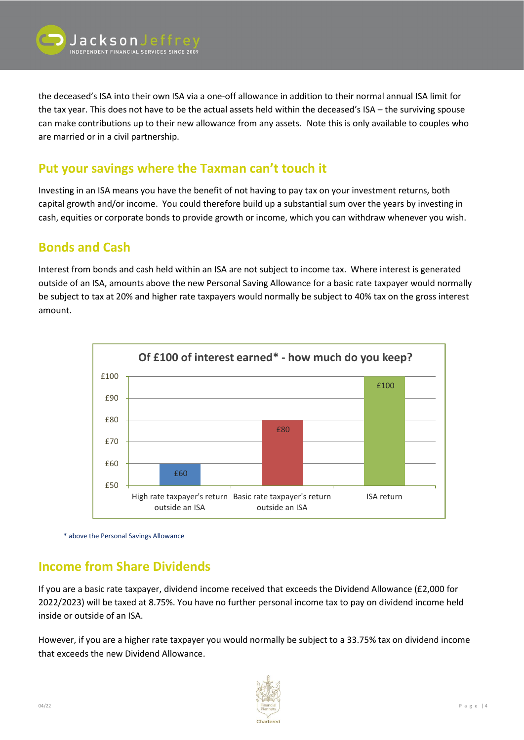

the deceased's ISA into their own ISA via a one-off allowance in addition to their normal annual ISA limit for the tax year. This does not have to be the actual assets held within the deceased's ISA – the surviving spouse can make contributions up to their new allowance from any assets. Note this is only available to couples who are married or in a civil partnership.

#### **Put your savings where the Taxman can't touch it**

Investing in an ISA means you have the benefit of not having to pay tax on your investment returns, both capital growth and/or income. You could therefore build up a substantial sum over the years by investing in cash, equities or corporate bonds to provide growth or income, which you can withdraw whenever you wish.

#### **Bonds and Cash**

Interest from bonds and cash held within an ISA are not subject to income tax. Where interest is generated outside of an ISA, amounts above the new Personal Saving Allowance for a basic rate taxpayer would normally be subject to tax at 20% and higher rate taxpayers would normally be subject to 40% tax on the gross interest amount.



\* above the Personal Savings Allowance

#### **Income from Share Dividends**

If you are a basic rate taxpayer, dividend income received that exceeds the Dividend Allowance (£2,000 for 2022/2023) will be taxed at 8.75%. You have no further personal income tax to pay on dividend income held inside or outside of an ISA.

However, if you are a higher rate taxpayer you would normally be subject to a 33.75% tax on dividend income that exceeds the new Dividend Allowance.